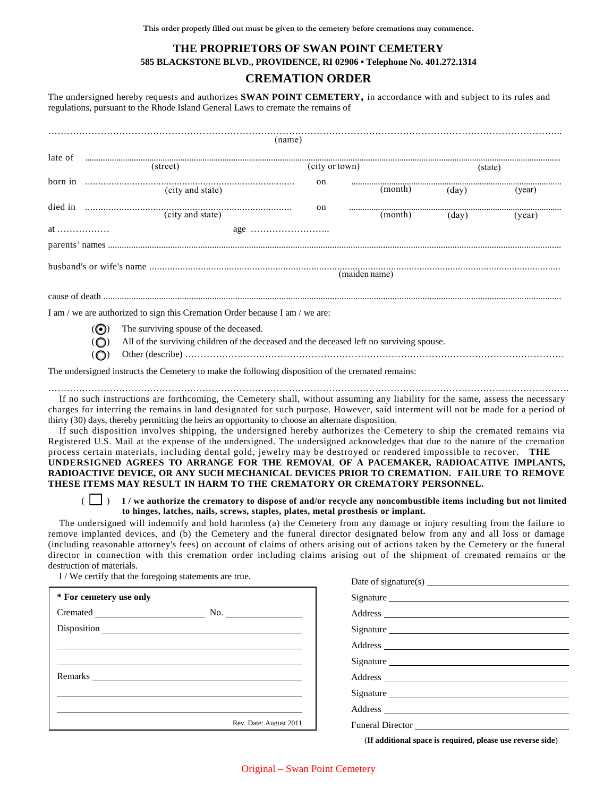## **THE PROPRIETORS OF SWAN POINT CEMETERY 585 BLACKSTONE BLVD., PROVIDENCE, RI 02906 • Telephone No. 401.272.1314**

## **CREMATION ORDER**

The undersigned hereby requests and authorizes **SWAN POINT CEMETERY,** in accordance with and subject to its rules and regulations, pursuant to the Rhode Island General Laws to cremate the remains of

| (name)  |                                                                                          |    |               |                   |        |  |
|---------|------------------------------------------------------------------------------------------|----|---------------|-------------------|--------|--|
| late of | (city or town)<br>(street)<br>(state)                                                    |    |               |                   |        |  |
| born in |                                                                                          | on |               |                   |        |  |
|         | (city and state)                                                                         |    | (month)       | (day)             | (year) |  |
|         |                                                                                          | on |               |                   |        |  |
|         |                                                                                          |    |               | $(month)$ $(day)$ | (vear) |  |
|         |                                                                                          |    |               |                   |        |  |
|         |                                                                                          |    |               |                   |        |  |
|         |                                                                                          |    |               |                   |        |  |
|         |                                                                                          |    |               |                   |        |  |
|         |                                                                                          |    | (maiden name) |                   |        |  |
|         |                                                                                          |    |               |                   |        |  |
|         | I am / we are authorized to sign this Cremation Order because I am / we are:             |    |               |                   |        |  |
|         | The surviving spouse of the deceased.<br>(⊙)                                             |    |               |                   |        |  |
|         | All of the surviving children of the deceased and the deceased left no surviving spouse. |    |               |                   |        |  |
|         |                                                                                          |    |               |                   |        |  |

( ) Other (describe) ……………………………………………………………………………………………………………

The undersigned instructs the Cemetery to make the following disposition of the cremated remains:

……………………………………………………………………………………………………………………………………………………. If no such instructions are forthcoming, the Cemetery shall, without assuming any liability for the same, assess the necessary charges for interring the remains in land designated for such purpose. However, said interment will not be made for a period of thirty (30) days, thereby permitting the heirs an opportunity to choose an alternate disposition.

If such disposition involves shipping, the undersigned hereby authorizes the Cemetery to ship the cremated remains via Registered U.S. Mail at the expense of the undersigned. The undersigned acknowledges that due to the nature of the cremation process certain materials, including dental gold, jewelry may be destroyed or rendered impossible to recover. **THE UNDERSIGNED AGREES TO ARRANGE FOR THE REMOVAL OF A PACEMAKER, RADIOACATIVE IMPLANTS, RADIOACTIVE DEVICE, OR ANY SUCH MECHANICAL DEVICES PRIOR TO CREMATION. FAILURE TO REMOVE THESE ITEMS MAY RESULT IN HARM TO THE CREMATORY OR CREMATORY PERSONNEL.**

( ) **I / we authorize the crematory to dispose of and/or recycle any noncombustible items including but not limited to hinges, latches, nails, screws, staples, plates, metal prosthesis or implant.**

Date of signature $(s)$ 

The undersigned will indemnify and hold harmless (a) the Cemetery from any damage or injury resulting from the failure to remove implanted devices, and (b) the Cemetery and the funeral director designated below from any and all loss or damage (including reasonable attorney's fees) on account of claims of others arising out of actions taken by the Cemetery or the funeral director in connection with this cremation order including claims arising out of the shipment of cremated remains or the destruction of materials.

I / We certify that the foregoing statements are true.

|                         | $P^{\text{acc}}$ of $\sigma$ $\mu$ $\mu$ $\mu$ $\sigma$ $\sigma$ |
|-------------------------|------------------------------------------------------------------|
| * For cemetery use only | Signature                                                        |
| Cremated No. No.        |                                                                  |
|                         |                                                                  |
|                         |                                                                  |
|                         | Signature                                                        |
|                         |                                                                  |
|                         | Signature                                                        |
|                         |                                                                  |
| Rev. Date: August 2011  | Funeral Director                                                 |
|                         |                                                                  |

(**If additional space is required, please use reverse side**)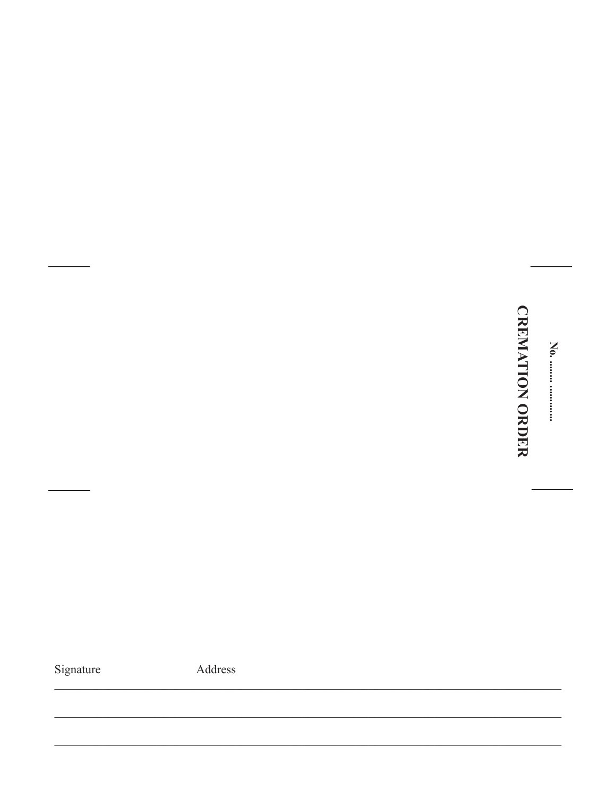## **CREMATION ORDER**

Signature

Address